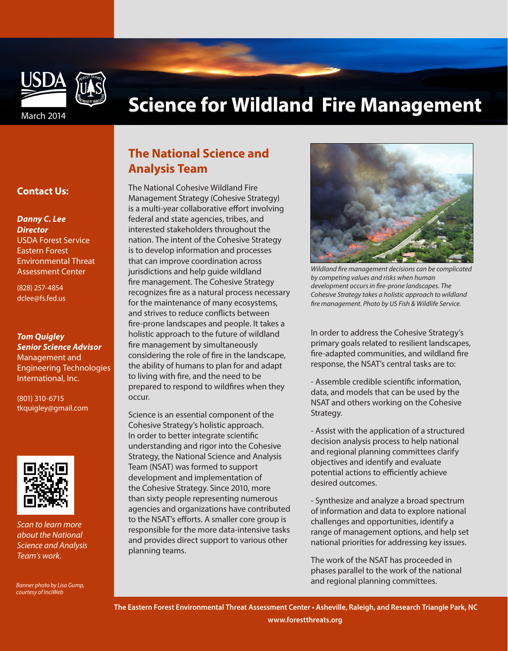

# **Science for Wildland Fire Management**

### **Contact Us:**

### *Danny C. Lee*

*Director*  USDA Forest Service Eastern Forest Environmental Threat Assessment Center

(828) 257-4854 dclee@fs.fed.us

### *Tom Quigley Senior Science Advisor*  Management and Engineering Technologies International, Inc.

(801) 310-6715 tkquigley@gmail.com



*Scan to learn more about the National Science and Analysis Team's work.*

*Banner photo by Lisa Gump, courtesy of InciWeb*

## **The National Science and Analysis Team**

The National Cohesive Wildland Fire Management Strategy (Cohesive Strategy) is a multi-year collaborative effort involving federal and state agencies, tribes, and interested stakeholders throughout the nation. The intent of the Cohesive Strategy is to develop information and processes that can improve coordination across jurisdictions and help guide wildland fire management. The Cohesive Strategy recognizes fire as a natural process necessary for the maintenance of many ecosystems, and strives to reduce conflicts between fire-prone landscapes and people. It takes a holistic approach to the future of wildland fire management by simultaneously considering the role of fire in the landscape, the ability of humans to plan for and adapt to living with fire, and the need to be prepared to respond to wildfires when they occur.

Science is an essential component of the Cohesive Strategy's holistic approach. In order to better integrate scientific understanding and rigor into the Cohesive Strategy, the National Science and Analysis Team (NSAT) was formed to support development and implementation of the Cohesive Strategy. Since 2010, more than sixty people representing numerous agencies and organizations have contributed to the NSAT's efforts. A smaller core group is responsible for the more data-intensive tasks and provides direct support to various other planning teams.



*Wildland fire management decisions can be complicated by competing values and risks when human development occurs in fire-prone landscapes. The Cohesive Strategy takes a holistic approach to wildland fire management. Photo by US Fish & Wildlife Service.*

In order to address the Cohesive Strategy's primary goals related to resilient landscapes, fire-adapted communities, and wildland fire response, the NSAT's central tasks are to:

- Assemble credible scientific information, data, and models that can be used by the NSAT and others working on the Cohesive Strategy.

- Assist with the application of a structured decision analysis process to help national and regional planning committees clarify objectives and identify and evaluate potential actions to efficiently achieve desired outcomes.

- Synthesize and analyze a broad spectrum of information and data to explore national challenges and opportunities, identify a range of management options, and help set national priorities for addressing key issues.

The work of the NSAT has proceeded in phases parallel to the work of the national and regional planning committees.